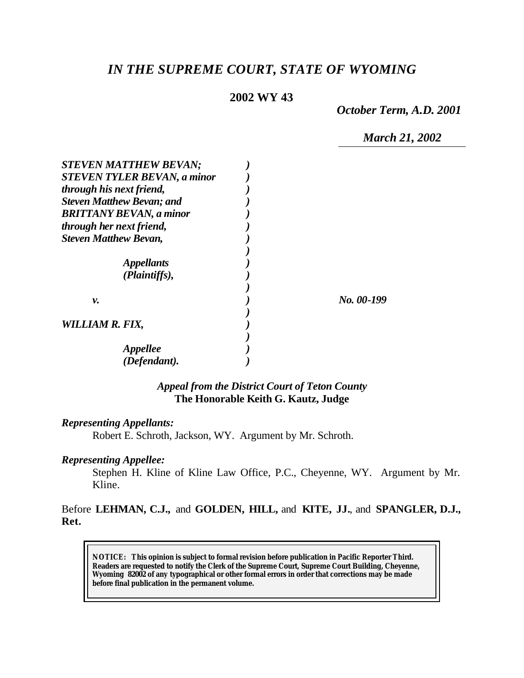# *IN THE SUPREME COURT, STATE OF WYOMING*

#### **2002 WY 43**

*October Term, A.D. 2001*

*March 21, 2002*

| <b>STEVEN MATTHEW BEVAN;</b>       |            |
|------------------------------------|------------|
| <b>STEVEN TYLER BEVAN, a minor</b> |            |
| through his next friend,           |            |
| <b>Steven Matthew Bevan; and</b>   |            |
| <b>BRITTANY BEVAN, a minor</b>     |            |
| through her next friend,           |            |
| <b>Steven Matthew Bevan,</b>       |            |
|                                    |            |
| <i><b>Appellants</b></i>           |            |
| (Plaintiffs),                      |            |
|                                    |            |
| ν.                                 | No. 00-199 |
|                                    |            |
| WILLIAM R. FIX,                    |            |
|                                    |            |
| <i>Appellee</i>                    |            |
| (Defendant).                       |            |

### *Appeal from the District Court of Teton County* **The Honorable Keith G. Kautz, Judge**

#### *Representing Appellants:*

Robert E. Schroth, Jackson, WY. Argument by Mr. Schroth.

#### *Representing Appellee:*

Stephen H. Kline of Kline Law Office, P.C., Cheyenne, WY. Argument by Mr. Kline.

Before **LEHMAN, C.J.,** and **GOLDEN, HILL,** and **KITE, JJ.**, and **SPANGLER, D.J., Ret.**

**NOTICE:** *This opinion is subject to formal revision before publication in Pacific Reporter Third. Readers are requested to notify the Clerk of the Supreme Court, Supreme Court Building, Cheyenne, Wyoming 82002 of any typographical or other formal errors in order that corrections may be made before final publication in the permanent volume.*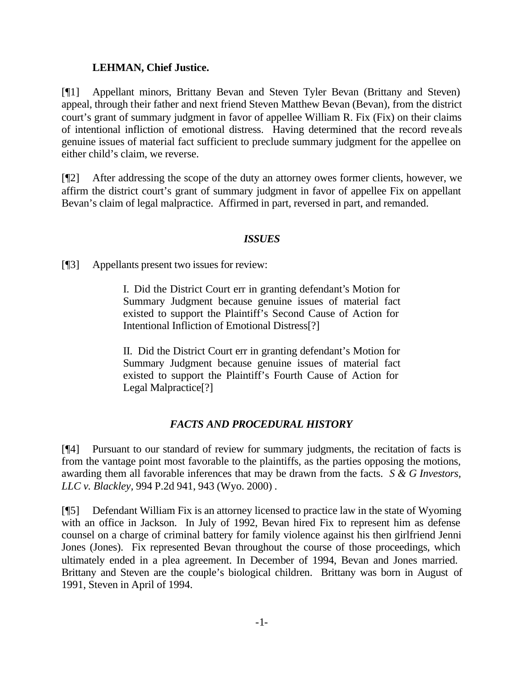### **LEHMAN, Chief Justice.**

[¶1] Appellant minors, Brittany Bevan and Steven Tyler Bevan (Brittany and Steven) appeal, through their father and next friend Steven Matthew Bevan (Bevan), from the district court's grant of summary judgment in favor of appellee William R. Fix (Fix) on their claims of intentional infliction of emotional distress. Having determined that the record reveals genuine issues of material fact sufficient to preclude summary judgment for the appellee on either child's claim, we reverse.

[¶2] After addressing the scope of the duty an attorney owes former clients, however, we affirm the district court's grant of summary judgment in favor of appellee Fix on appellant Bevan's claim of legal malpractice. Affirmed in part, reversed in part, and remanded.

### *ISSUES*

[¶3] Appellants present two issues for review:

I. Did the District Court err in granting defendant's Motion for Summary Judgment because genuine issues of material fact existed to support the Plaintiff's Second Cause of Action for Intentional Infliction of Emotional Distress[?]

II. Did the District Court err in granting defendant's Motion for Summary Judgment because genuine issues of material fact existed to support the Plaintiff's Fourth Cause of Action for Legal Malpractice[?]

## *FACTS AND PROCEDURAL HISTORY*

[¶4] Pursuant to our standard of review for summary judgments, the recitation of facts is from the vantage point most favorable to the plaintiffs, as the parties opposing the motions, awarding them all favorable inferences that may be drawn from the facts. *S & G Investors, LLC v. Blackley,* 994 P.2d 941, 943 (Wyo. 2000) .

[¶5] Defendant William Fix is an attorney licensed to practice law in the state of Wyoming with an office in Jackson. In July of 1992, Bevan hired Fix to represent him as defense counsel on a charge of criminal battery for family violence against his then girlfriend Jenni Jones (Jones). Fix represented Bevan throughout the course of those proceedings, which ultimately ended in a plea agreement. In December of 1994, Bevan and Jones married. Brittany and Steven are the couple's biological children. Brittany was born in August of 1991, Steven in April of 1994.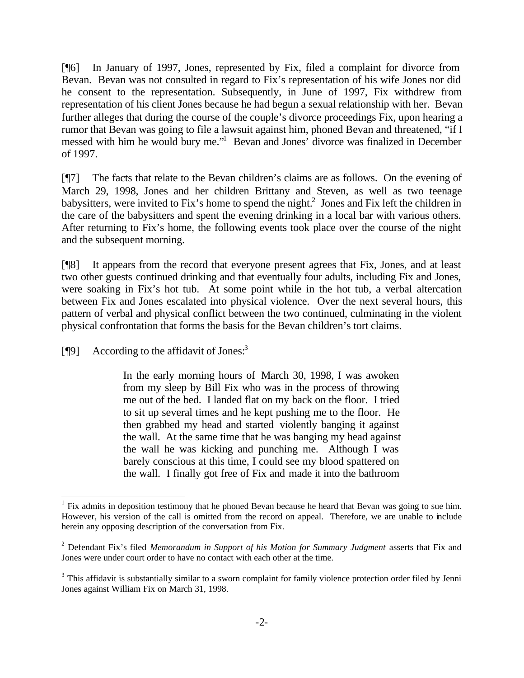[¶6] In January of 1997, Jones, represented by Fix, filed a complaint for divorce from Bevan. Bevan was not consulted in regard to Fix's representation of his wife Jones nor did he consent to the representation. Subsequently, in June of 1997, Fix withdrew from representation of his client Jones because he had begun a sexual relationship with her. Bevan further alleges that during the course of the couple's divorce proceedings Fix, upon hearing a rumor that Bevan was going to file a lawsuit against him, phoned Bevan and threatened, "if I messed with him he would bury me."<sup>1</sup> Bevan and Jones' divorce was finalized in December of 1997.

[¶7] The facts that relate to the Bevan children's claims are as follows. On the evening of March 29, 1998, Jones and her children Brittany and Steven, as well as two teenage babysitters, were invited to Fix's home to spend the night.<sup>2</sup> Jones and Fix left the children in the care of the babysitters and spent the evening drinking in a local bar with various others. After returning to Fix's home, the following events took place over the course of the night and the subsequent morning.

[¶8] It appears from the record that everyone present agrees that Fix, Jones, and at least two other guests continued drinking and that eventually four adults, including Fix and Jones, were soaking in Fix's hot tub. At some point while in the hot tub, a verbal altercation between Fix and Jones escalated into physical violence. Over the next several hours, this pattern of verbal and physical conflict between the two continued, culminating in the violent physical confrontation that forms the basis for the Bevan children's tort claims.

 $[$ **[9**] According to the affidavit of Jones:<sup>3</sup>

l

In the early morning hours of March 30, 1998, I was awoken from my sleep by Bill Fix who was in the process of throwing me out of the bed. I landed flat on my back on the floor. I tried to sit up several times and he kept pushing me to the floor. He then grabbed my head and started violently banging it against the wall. At the same time that he was banging my head against the wall he was kicking and punching me. Although I was barely conscious at this time, I could see my blood spattered on the wall. I finally got free of Fix and made it into the bathroom

<sup>&</sup>lt;sup>1</sup> Fix admits in deposition testimony that he phoned Bevan because he heard that Bevan was going to sue him. However, his version of the call is omitted from the record on appeal. Therefore, we are unable to include herein any opposing description of the conversation from Fix.

<sup>2</sup> Defendant Fix's filed *Memorandum in Support of his Motion for Summary Judgment* asserts that Fix and Jones were under court order to have no contact with each other at the time.

 $3$  This affidavit is substantially similar to a sworn complaint for family violence protection order filed by Jenni Jones against William Fix on March 31, 1998.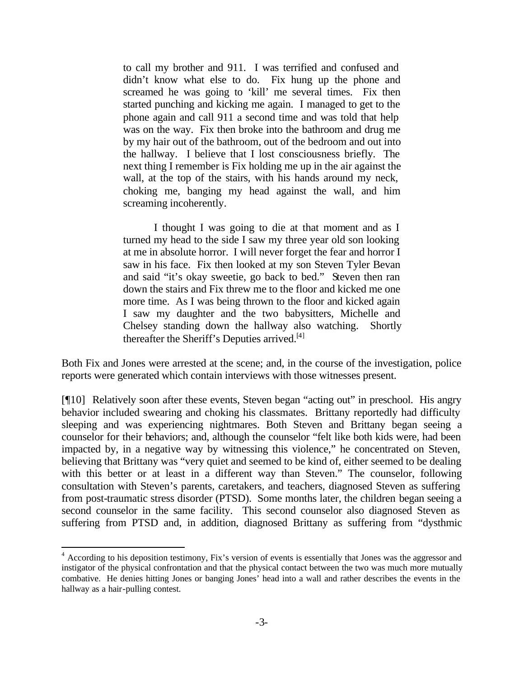to call my brother and 911. I was terrified and confused and didn't know what else to do. Fix hung up the phone and screamed he was going to 'kill' me several times. Fix then started punching and kicking me again. I managed to get to the phone again and call 911 a second time and was told that help was on the way. Fix then broke into the bathroom and drug me by my hair out of the bathroom, out of the bedroom and out into the hallway. I believe that I lost consciousness briefly. The next thing I remember is Fix holding me up in the air against the wall, at the top of the stairs, with his hands around my neck, choking me, banging my head against the wall, and him screaming incoherently.

I thought I was going to die at that moment and as I turned my head to the side I saw my three year old son looking at me in absolute horror. I will never forget the fear and horror I saw in his face. Fix then looked at my son Steven Tyler Bevan and said "it's okay sweetie, go back to bed." Steven then ran down the stairs and Fix threw me to the floor and kicked me one more time. As I was being thrown to the floor and kicked again I saw my daughter and the two babysitters, Michelle and Chelsey standing down the hallway also watching. Shortly thereafter the Sheriff's Deputies arrived.<sup>[4]</sup>

Both Fix and Jones were arrested at the scene; and, in the course of the investigation, police reports were generated which contain interviews with those witnesses present.

[¶10] Relatively soon after these events, Steven began "acting out" in preschool. His angry behavior included swearing and choking his classmates. Brittany reportedly had difficulty sleeping and was experiencing nightmares. Both Steven and Brittany began seeing a counselor for their behaviors; and, although the counselor "felt like both kids were, had been impacted by, in a negative way by witnessing this violence," he concentrated on Steven, believing that Brittany was "very quiet and seemed to be kind of, either seemed to be dealing with this better or at least in a different way than Steven." The counselor, following consultation with Steven's parents, caretakers, and teachers, diagnosed Steven as suffering from post-traumatic stress disorder (PTSD). Some months later, the children began seeing a second counselor in the same facility. This second counselor also diagnosed Steven as suffering from PTSD and, in addition, diagnosed Brittany as suffering from "dysthmic

<sup>&</sup>lt;sup>4</sup> According to his deposition testimony, Fix's version of events is essentially that Jones was the aggressor and instigator of the physical confrontation and that the physical contact between the two was much more mutually combative. He denies hitting Jones or banging Jones' head into a wall and rather describes the events in the hallway as a hair-pulling contest.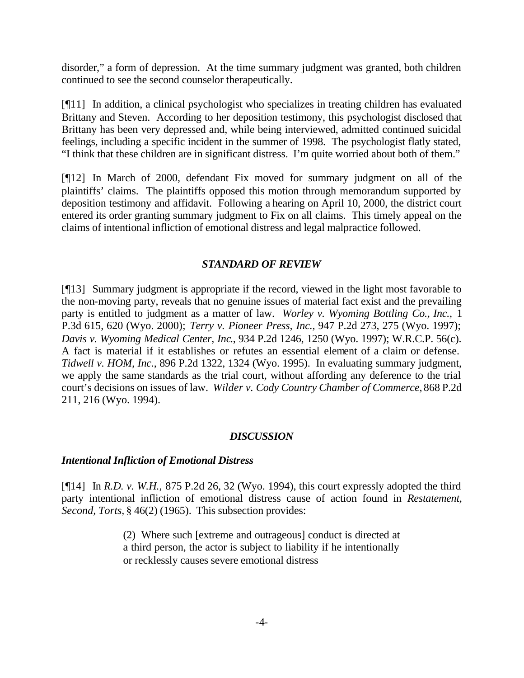disorder," a form of depression. At the time summary judgment was granted, both children continued to see the second counselor therapeutically.

[¶11] In addition, a clinical psychologist who specializes in treating children has evaluated Brittany and Steven. According to her deposition testimony, this psychologist disclosed that Brittany has been very depressed and, while being interviewed, admitted continued suicidal feelings, including a specific incident in the summer of 1998. The psychologist flatly stated, "I think that these children are in significant distress. I'm quite worried about both of them."

[¶12] In March of 2000, defendant Fix moved for summary judgment on all of the plaintiffs' claims. The plaintiffs opposed this motion through memorandum supported by deposition testimony and affidavit. Following a hearing on April 10, 2000, the district court entered its order granting summary judgment to Fix on all claims. This timely appeal on the claims of intentional infliction of emotional distress and legal malpractice followed.

#### *STANDARD OF REVIEW*

[¶13] Summary judgment is appropriate if the record, viewed in the light most favorable to the non-moving party, reveals that no genuine issues of material fact exist and the prevailing party is entitled to judgment as a matter of law. *Worley v. Wyoming Bottling Co., Inc.,* 1 P.3d 615, 620 (Wyo. 2000); *Terry v. Pioneer Press, Inc.,* 947 P.2d 273, 275 (Wyo. 1997); *Davis v. Wyoming Medical Center, Inc*., 934 P.2d 1246, 1250 (Wyo. 1997); W.R.C.P. 56(c). A fact is material if it establishes or refutes an essential element of a claim or defense. *Tidwell v. HOM, Inc.*, 896 P.2d 1322, 1324 (Wyo. 1995). In evaluating summary judgment, we apply the same standards as the trial court, without affording any deference to the trial court's decisions on issues of law. *Wilder v. Cody Country Chamber of Commerce,* 868 P.2d 211, 216 (Wyo. 1994).

#### *DISCUSSION*

#### *Intentional Infliction of Emotional Distress*

[¶14] In *R.D. v. W.H.,* 875 P.2d 26, 32 (Wyo. 1994), this court expressly adopted the third party intentional infliction of emotional distress cause of action found in *Restatement, Second, Torts,* § 46(2) (1965). This subsection provides:

> (2) Where such [extreme and outrageous] conduct is directed at a third person, the actor is subject to liability if he intentionally or recklessly causes severe emotional distress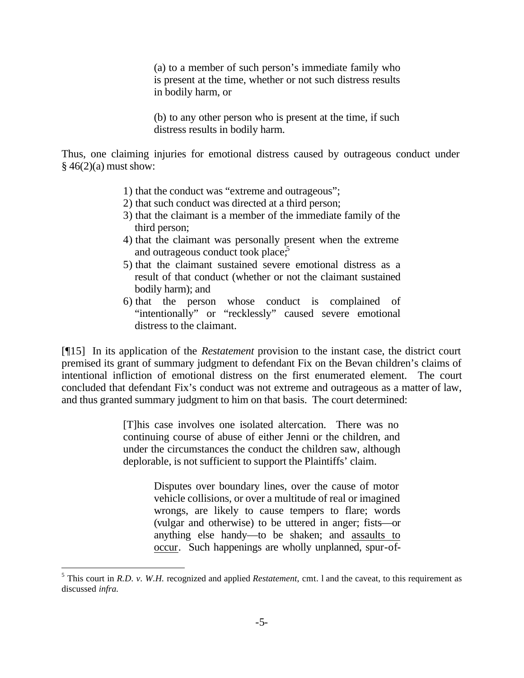(a) to a member of such person's immediate family who is present at the time, whether or not such distress results in bodily harm, or

(b) to any other person who is present at the time, if such distress results in bodily harm.

Thus, one claiming injuries for emotional distress caused by outrageous conduct under  $§$  46(2)(a) must show:

- 1) that the conduct was "extreme and outrageous";
- 2) that such conduct was directed at a third person;
- 3) that the claimant is a member of the immediate family of the third person;
- 4) that the claimant was personally present when the extreme and outrageous conduct took place, $\frac{5}{5}$
- 5) that the claimant sustained severe emotional distress as a result of that conduct (whether or not the claimant sustained bodily harm); and
- 6) that the person whose conduct is complained of "intentionally" or "recklessly" caused severe emotional distress to the claimant.

[¶15] In its application of the *Restatement* provision to the instant case, the district court premised its grant of summary judgment to defendant Fix on the Bevan children's claims of intentional infliction of emotional distress on the first enumerated element. The court concluded that defendant Fix's conduct was not extreme and outrageous as a matter of law, and thus granted summary judgment to him on that basis. The court determined:

> [T]his case involves one isolated altercation. There was no continuing course of abuse of either Jenni or the children, and under the circumstances the conduct the children saw, although deplorable, is not sufficient to support the Plaintiffs' claim.

> > Disputes over boundary lines, over the cause of motor vehicle collisions, or over a multitude of real or imagined wrongs, are likely to cause tempers to flare; words (vulgar and otherwise) to be uttered in anger; fists—or anything else handy—to be shaken; and assaults to occur. Such happenings are wholly unplanned, spur-of-

<sup>&</sup>lt;sup>5</sup> This court in *R.D. v. W.H.* recognized and applied *Restatement*, cmt. 1 and the caveat, to this requirement as discussed *infra.*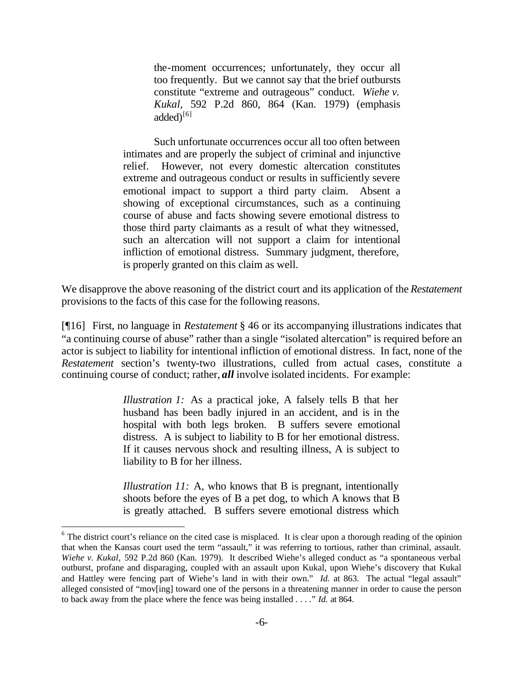the-moment occurrences; unfortunately, they occur all too frequently. But we cannot say that the brief outbursts constitute "extreme and outrageous" conduct. *Wiehe v. Kukal,* 592 P.2d 860, 864 (Kan. 1979) (emphasis added $)^{\{6\}}$ 

Such unfortunate occurrences occur all too often between intimates and are properly the subject of criminal and injunctive relief. However, not every domestic altercation constitutes extreme and outrageous conduct or results in sufficiently severe emotional impact to support a third party claim. Absent a showing of exceptional circumstances, such as a continuing course of abuse and facts showing severe emotional distress to those third party claimants as a result of what they witnessed, such an altercation will not support a claim for intentional infliction of emotional distress. Summary judgment, therefore, is properly granted on this claim as well.

We disapprove the above reasoning of the district court and its application of the *Restatement* provisions to the facts of this case for the following reasons.

[¶16] First, no language in *Restatement* § 46 or its accompanying illustrations indicates that "a continuing course of abuse" rather than a single "isolated altercation" is required before an actor is subject to liability for intentional infliction of emotional distress. In fact, none of the *Restatement* section's twenty-two illustrations, culled from actual cases, constitute a continuing course of conduct; rather, *all* involve isolated incidents. For example:

> *Illustration 1:* As a practical joke, A falsely tells B that her husband has been badly injured in an accident, and is in the hospital with both legs broken. B suffers severe emotional distress. A is subject to liability to B for her emotional distress. If it causes nervous shock and resulting illness, A is subject to liability to B for her illness.

> *Illustration 11:* A, who knows that B is pregnant, intentionally shoots before the eyes of B a pet dog, to which A knows that B is greatly attached. B suffers severe emotional distress which

 $6$  The district court's reliance on the cited case is misplaced. It is clear upon a thorough reading of the opinion that when the Kansas court used the term "assault," it was referring to tortious, rather than criminal, assault. *Wiehe v. Kukal,* 592 P.2d 860 (Kan. 1979). It described Wiehe's alleged conduct as "a spontaneous verbal outburst, profane and disparaging, coupled with an assault upon Kukal, upon Wiehe's discovery that Kukal and Hattley were fencing part of Wiehe's land in with their own." *Id.* at 863. The actual "legal assault" alleged consisted of "mov[ing] toward one of the persons in a threatening manner in order to cause the person to back away from the place where the fence was being installed . . . ." *Id.* at 864.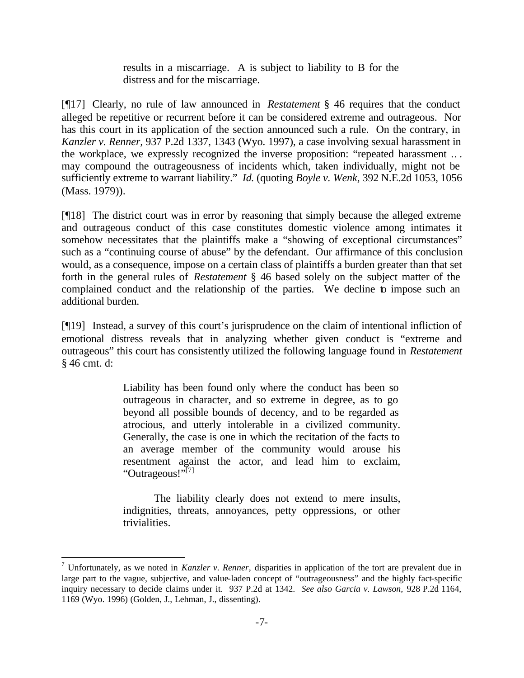results in a miscarriage. A is subject to liability to B for the distress and for the miscarriage.

[¶17] Clearly, no rule of law announced in *Restatement* § 46 requires that the conduct alleged be repetitive or recurrent before it can be considered extreme and outrageous. Nor has this court in its application of the section announced such a rule. On the contrary, in *Kanzler v. Renner,* 937 P.2d 1337, 1343 (Wyo. 1997), a case involving sexual harassment in the workplace, we expressly recognized the inverse proposition: "repeated harassment .. . may compound the outrageousness of incidents which, taken individually, might not be sufficiently extreme to warrant liability." *Id.* (quoting *Boyle v. Wenk,* 392 N.E.2d 1053, 1056 (Mass. 1979)).

[¶18] The district court was in error by reasoning that simply because the alleged extreme and outrageous conduct of this case constitutes domestic violence among intimates it somehow necessitates that the plaintiffs make a "showing of exceptional circumstances" such as a "continuing course of abuse" by the defendant. Our affirmance of this conclusion would, as a consequence, impose on a certain class of plaintiffs a burden greater than that set forth in the general rules of *Restatement* § 46 based solely on the subject matter of the complained conduct and the relationship of the parties. We decline to impose such an additional burden.

[¶19] Instead, a survey of this court's jurisprudence on the claim of intentional infliction of emotional distress reveals that in analyzing whether given conduct is "extreme and outrageous" this court has consistently utilized the following language found in *Restatement* § 46 cmt. d:

> Liability has been found only where the conduct has been so outrageous in character, and so extreme in degree, as to go beyond all possible bounds of decency, and to be regarded as atrocious, and utterly intolerable in a civilized community. Generally, the case is one in which the recitation of the facts to an average member of the community would arouse his resentment against the actor, and lead him to exclaim, "Outrageous!"<sup>[7]</sup>

> The liability clearly does not extend to mere insults, indignities, threats, annoyances, petty oppressions, or other trivialities.

 7 Unfortunately, as we noted in *Kanzler v. Renner,* disparities in application of the tort are prevalent due in large part to the vague, subjective, and value-laden concept of "outrageousness" and the highly fact-specific inquiry necessary to decide claims under it. 937 P.2d at 1342. *See also Garcia v. Lawson,* 928 P.2d 1164, 1169 (Wyo. 1996) (Golden, J., Lehman, J., dissenting).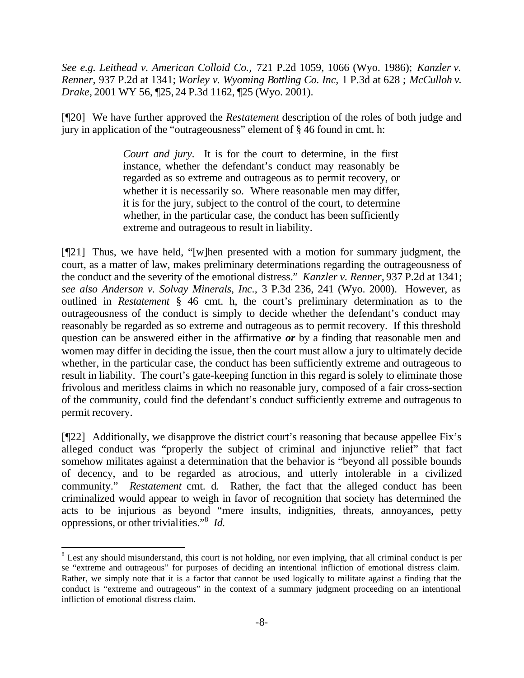*See e.g. Leithead v. American Colloid Co.,* 721 P.2d 1059, 1066 (Wyo. 1986); *Kanzler v. Renner,* 937 P.2d at 1341; *Worley v. Wyoming Bottling Co. Inc,* 1 P.3d at 628 ; *McCulloh v. Drake,* 2001 WY 56, ¶25,24 P.3d 1162, ¶25 (Wyo. 2001).

[¶20] We have further approved the *Restatement* description of the roles of both judge and jury in application of the "outrageousness" element of § 46 found in cmt. h:

> *Court and jury*. It is for the court to determine, in the first instance, whether the defendant's conduct may reasonably be regarded as so extreme and outrageous as to permit recovery, or whether it is necessarily so. Where reasonable men may differ, it is for the jury, subject to the control of the court, to determine whether, in the particular case, the conduct has been sufficiently extreme and outrageous to result in liability.

[¶21] Thus, we have held, "[w]hen presented with a motion for summary judgment, the court, as a matter of law, makes preliminary determinations regarding the outrageousness of the conduct and the severity of the emotional distress." *Kanzler v. Renner,* 937 P.2d at 1341; *see also Anderson v. Solvay Minerals, Inc.*, 3 P.3d 236, 241 (Wyo. 2000). However, as outlined in *Restatement* § 46 cmt. h, the court's preliminary determination as to the outrageousness of the conduct is simply to decide whether the defendant's conduct may reasonably be regarded as so extreme and outrageous as to permit recovery. If this threshold question can be answered either in the affirmative *or* by a finding that reasonable men and women may differ in deciding the issue, then the court must allow a jury to ultimately decide whether, in the particular case, the conduct has been sufficiently extreme and outrageous to result in liability. The court's gate-keeping function in this regard is solely to eliminate those frivolous and meritless claims in which no reasonable jury, composed of a fair cross-section of the community, could find the defendant's conduct sufficiently extreme and outrageous to permit recovery.

[¶22] Additionally, we disapprove the district court's reasoning that because appellee Fix's alleged conduct was "properly the subject of criminal and injunctive relief" that fact somehow militates against a determination that the behavior is "beyond all possible bounds of decency, and to be regarded as atrocious, and utterly intolerable in a civilized community." *Restatement* cmt. d*.* Rather, the fact that the alleged conduct has been criminalized would appear to weigh in favor of recognition that society has determined the acts to be injurious as beyond "mere insults, indignities, threats, annoyances, petty oppressions, or other trivialities."<sup>8</sup> *Id.* 

 $8$  Lest any should misunderstand, this court is not holding, nor even implying, that all criminal conduct is per se "extreme and outrageous" for purposes of deciding an intentional infliction of emotional distress claim. Rather, we simply note that it is a factor that cannot be used logically to militate against a finding that the conduct is "extreme and outrageous" in the context of a summary judgment proceeding on an intentional infliction of emotional distress claim.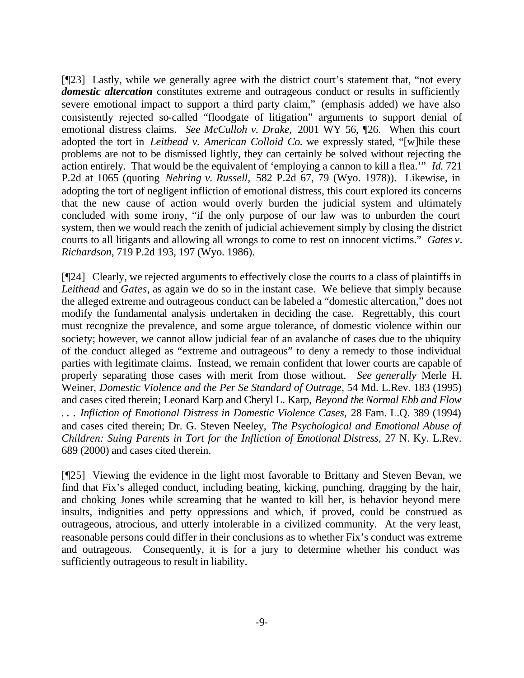[¶23] Lastly, while we generally agree with the district court's statement that, "not every *domestic altercation* constitutes extreme and outrageous conduct or results in sufficiently severe emotional impact to support a third party claim," (emphasis added) we have also consistently rejected so-called "floodgate of litigation" arguments to support denial of emotional distress claims. *See McCulloh v. Drake,* 2001 WY 56, ¶26. When this court adopted the tort in *Leithead v. American Colloid Co.* we expressly stated, "[w]hile these problems are not to be dismissed lightly, they can certainly be solved without rejecting the action entirely. That would be the equivalent of 'employing a cannon to kill a flea.'" *Id.* 721 P.2d at 1065 (quoting *Nehring v. Russell,* 582 P.2d 67, 79 (Wyo. 1978)). Likewise, in adopting the tort of negligent infliction of emotional distress, this court explored its concerns that the new cause of action would overly burden the judicial system and ultimately concluded with some irony, "if the only purpose of our law was to unburden the court system, then we would reach the zenith of judicial achievement simply by closing the district courts to all litigants and allowing all wrongs to come to rest on innocent victims." *Gates v. Richardson,* 719 P.2d 193, 197 (Wyo. 1986).

[¶24] Clearly, we rejected arguments to effectively close the courts to a class of plaintiffs in *Leithead* and *Gates,* as again we do so in the instant case. We believe that simply because the alleged extreme and outrageous conduct can be labeled a "domestic altercation," does not modify the fundamental analysis undertaken in deciding the case. Regrettably, this court must recognize the prevalence, and some argue tolerance, of domestic violence within our society; however, we cannot allow judicial fear of an avalanche of cases due to the ubiquity of the conduct alleged as "extreme and outrageous" to deny a remedy to those individual parties with legitimate claims. Instead, we remain confident that lower courts are capable of properly separating those cases with merit from those without. *See generally* Merle H. Weiner, *Domestic Violence and the Per Se Standard of Outrage,* 54 Md. L.Rev. 183 (1995) and cases cited therein; Leonard Karp and Cheryl L. Karp, *Beyond the Normal Ebb and Flow . . . Infliction of Emotional Distress in Domestic Violence Cases,* 28 Fam. L.Q. 389 (1994) and cases cited therein; Dr. G. Steven Neeley, *The Psychological and Emotional Abuse of Children: Suing Parents in Tort for the Infliction of Emotional Distress,* 27 N. Ky. L.Rev. 689 (2000) and cases cited therein.

[¶25] Viewing the evidence in the light most favorable to Brittany and Steven Bevan, we find that Fix's alleged conduct, including beating, kicking, punching, dragging by the hair, and choking Jones while screaming that he wanted to kill her, is behavior beyond mere insults, indignities and petty oppressions and which, if proved, could be construed as outrageous, atrocious, and utterly intolerable in a civilized community. At the very least, reasonable persons could differ in their conclusions as to whether Fix's conduct was extreme and outrageous. Consequently, it is for a jury to determine whether his conduct was sufficiently outrageous to result in liability.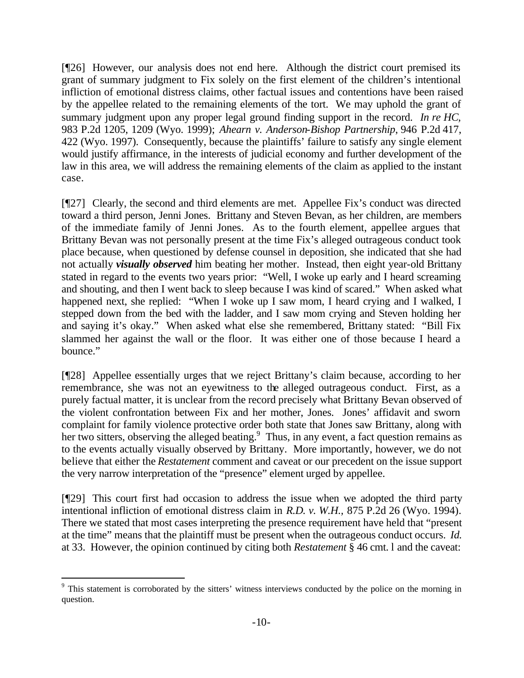[¶26] However, our analysis does not end here. Although the district court premised its grant of summary judgment to Fix solely on the first element of the children's intentional infliction of emotional distress claims, other factual issues and contentions have been raised by the appellee related to the remaining elements of the tort. We may uphold the grant of summary judgment upon any proper legal ground finding support in the record. *In re HC,*  983 P.2d 1205, 1209 (Wyo. 1999); *Ahearn v. Anderson-Bishop Partnership*, 946 P.2d 417, 422 (Wyo. 1997). Consequently, because the plaintiffs' failure to satisfy any single element would justify affirmance, in the interests of judicial economy and further development of the law in this area, we will address the remaining elements of the claim as applied to the instant case.

[¶27] Clearly, the second and third elements are met. Appellee Fix's conduct was directed toward a third person, Jenni Jones. Brittany and Steven Bevan, as her children, are members of the immediate family of Jenni Jones. As to the fourth element, appellee argues that Brittany Bevan was not personally present at the time Fix's alleged outrageous conduct took place because, when questioned by defense counsel in deposition, she indicated that she had not actually *visually observed* him beating her mother. Instead, then eight year-old Brittany stated in regard to the events two years prior: "Well, I woke up early and I heard screaming and shouting, and then I went back to sleep because I was kind of scared." When asked what happened next, she replied: "When I woke up I saw mom, I heard crying and I walked, I stepped down from the bed with the ladder, and I saw mom crying and Steven holding her and saying it's okay." When asked what else she remembered, Brittany stated: "Bill Fix slammed her against the wall or the floor. It was either one of those because I heard a bounce."

[¶28] Appellee essentially urges that we reject Brittany's claim because, according to her remembrance, she was not an eyewitness to the alleged outrageous conduct. First, as a purely factual matter, it is unclear from the record precisely what Brittany Bevan observed of the violent confrontation between Fix and her mother, Jones. Jones' affidavit and sworn complaint for family violence protective order both state that Jones saw Brittany, along with her two sitters, observing the alleged beating.<sup>9</sup> Thus, in any event, a fact question remains as to the events actually visually observed by Brittany. More importantly, however, we do not believe that either the *Restatement* comment and caveat or our precedent on the issue support the very narrow interpretation of the "presence" element urged by appellee.

[¶29] This court first had occasion to address the issue when we adopted the third party intentional infliction of emotional distress claim in *R.D. v. W.H.,* 875 P.2d 26 (Wyo. 1994). There we stated that most cases interpreting the presence requirement have held that "present at the time" means that the plaintiff must be present when the outrageous conduct occurs. *Id.*  at 33. However, the opinion continued by citing both *Restatement* § 46 cmt. l and the caveat:

<sup>&</sup>lt;sup>9</sup> This statement is corroborated by the sitters' witness interviews conducted by the police on the morning in question.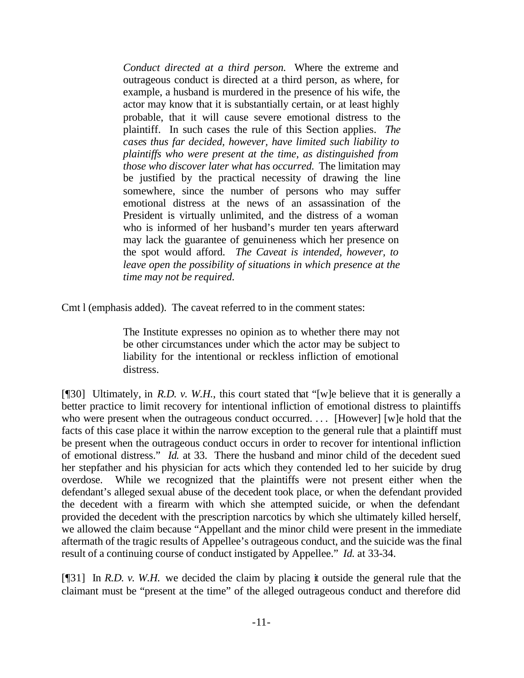*Conduct directed at a third person.* Where the extreme and outrageous conduct is directed at a third person, as where, for example, a husband is murdered in the presence of his wife, the actor may know that it is substantially certain, or at least highly probable, that it will cause severe emotional distress to the plaintiff. In such cases the rule of this Section applies. *The cases thus far decided, however, have limited such liability to plaintiffs who were present at the time, as distinguished from those who discover later what has occurred.* The limitation may be justified by the practical necessity of drawing the line somewhere, since the number of persons who may suffer emotional distress at the news of an assassination of the President is virtually unlimited, and the distress of a woman who is informed of her husband's murder ten years afterward may lack the guarantee of genuineness which her presence on the spot would afford. *The Caveat is intended, however, to leave open the possibility of situations in which presence at the time may not be required.*

Cmt l (emphasis added). The caveat referred to in the comment states:

The Institute expresses no opinion as to whether there may not be other circumstances under which the actor may be subject to liability for the intentional or reckless infliction of emotional distress.

[¶30] Ultimately, in *R.D. v. W.H.*, this court stated that "[w]e believe that it is generally a better practice to limit recovery for intentional infliction of emotional distress to plaintiffs who were present when the outrageous conduct occurred. ... [However] [w]e hold that the facts of this case place it within the narrow exception to the general rule that a plaintiff must be present when the outrageous conduct occurs in order to recover for intentional infliction of emotional distress." *Id.* at 33. There the husband and minor child of the decedent sued her stepfather and his physician for acts which they contended led to her suicide by drug overdose. While we recognized that the plaintiffs were not present either when the defendant's alleged sexual abuse of the decedent took place, or when the defendant provided the decedent with a firearm with which she attempted suicide, or when the defendant provided the decedent with the prescription narcotics by which she ultimately killed herself, we allowed the claim because "Appellant and the minor child were present in the immediate aftermath of the tragic results of Appellee's outrageous conduct, and the suicide was the final result of a continuing course of conduct instigated by Appellee." *Id.* at 33-34.

[¶31] In *R.D. v. W.H.* we decided the claim by placing it outside the general rule that the claimant must be "present at the time" of the alleged outrageous conduct and therefore did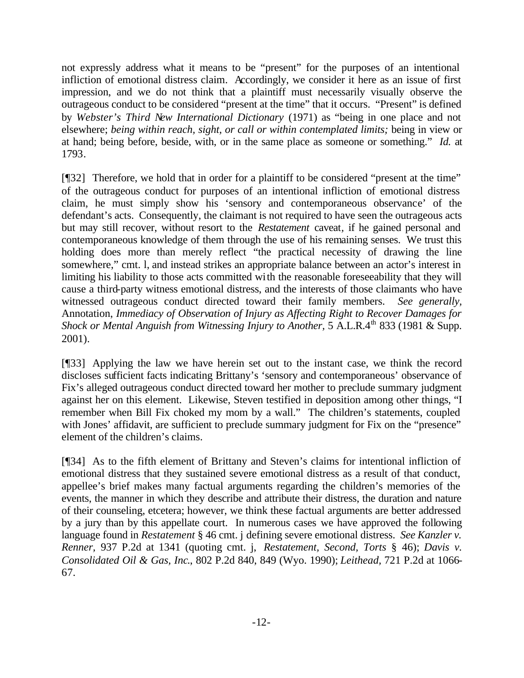not expressly address what it means to be "present" for the purposes of an intentional infliction of emotional distress claim. Accordingly, we consider it here as an issue of first impression, and we do not think that a plaintiff must necessarily visually observe the outrageous conduct to be considered "present at the time" that it occurs. "Present" is defined by *Webster's Third New International Dictionary* (1971) as "being in one place and not elsewhere; *being within reach, sight, or call or within contemplated limits;* being in view or at hand; being before, beside, with, or in the same place as someone or something." *Id.* at 1793.

[¶32] Therefore, we hold that in order for a plaintiff to be considered "present at the time" of the outrageous conduct for purposes of an intentional infliction of emotional distress claim, he must simply show his 'sensory and contemporaneous observance' of the defendant's acts. Consequently, the claimant is not required to have seen the outrageous acts but may still recover, without resort to the *Restatement* caveat*,* if he gained personal and contemporaneous knowledge of them through the use of his remaining senses. We trust this holding does more than merely reflect "the practical necessity of drawing the line somewhere," cmt. l, and instead strikes an appropriate balance between an actor's interest in limiting his liability to those acts committed with the reasonable foreseeability that they will cause a third-party witness emotional distress, and the interests of those claimants who have witnessed outrageous conduct directed toward their family members. *See generally,* Annotation, *Immediacy of Observation of Injury as Affecting Right to Recover Damages for Shock or Mental Anguish from Witnessing Injury to Another,* 5 A.L.R.4<sup>th</sup> 833 (1981 & Supp. 2001).

[¶33] Applying the law we have herein set out to the instant case, we think the record discloses sufficient facts indicating Brittany's 'sensory and contemporaneous' observance of Fix's alleged outrageous conduct directed toward her mother to preclude summary judgment against her on this element. Likewise, Steven testified in deposition among other things, "I remember when Bill Fix choked my mom by a wall." The children's statements, coupled with Jones' affidavit, are sufficient to preclude summary judgment for Fix on the "presence" element of the children's claims.

[¶34] As to the fifth element of Brittany and Steven's claims for intentional infliction of emotional distress that they sustained severe emotional distress as a result of that conduct, appellee's brief makes many factual arguments regarding the children's memories of the events, the manner in which they describe and attribute their distress, the duration and nature of their counseling, etcetera; however, we think these factual arguments are better addressed by a jury than by this appellate court. In numerous cases we have approved the following language found in *Restatement* § 46 cmt. j defining severe emotional distress. *See Kanzler v. Renner,* 937 P.2d at 1341 (quoting cmt. j, *Restatement, Second, Torts* § 46); *Davis v. Consolidated Oil & Gas, Inc*., 802 P.2d 840, 849 (Wyo. 1990); *Leithead,* 721 P.2d at 1066- 67*.*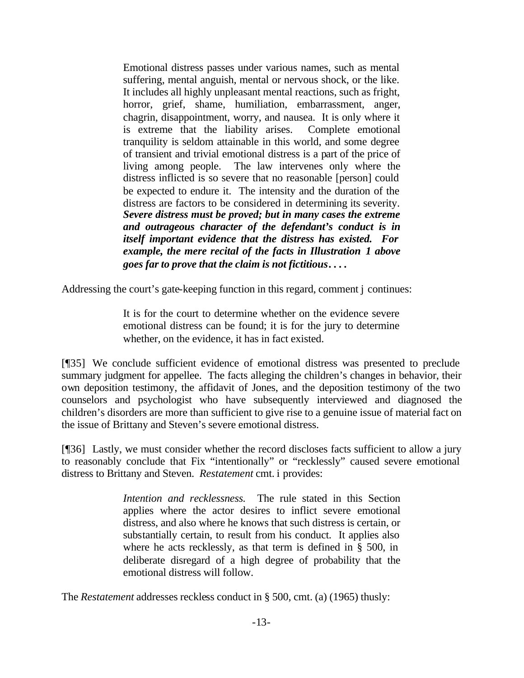Emotional distress passes under various names, such as mental suffering, mental anguish, mental or nervous shock, or the like. It includes all highly unpleasant mental reactions, such as fright, horror, grief, shame, humiliation, embarrassment, anger, chagrin, disappointment, worry, and nausea. It is only where it is extreme that the liability arises. Complete emotional tranquility is seldom attainable in this world, and some degree of transient and trivial emotional distress is a part of the price of living among people. The law intervenes only where the distress inflicted is so severe that no reasonable [person] could be expected to endure it. The intensity and the duration of the distress are factors to be considered in determining its severity. *Severe distress must be proved; but in many cases the extreme and outrageous character of the defendant's conduct is in itself important evidence that the distress has existed. For example, the mere recital of the facts in Illustration 1 above goes far to prove that the claim is not fictitious***. . . .**

Addressing the court's gate-keeping function in this regard, comment j continues:

It is for the court to determine whether on the evidence severe emotional distress can be found; it is for the jury to determine whether, on the evidence, it has in fact existed.

[¶35] We conclude sufficient evidence of emotional distress was presented to preclude summary judgment for appellee. The facts alleging the children's changes in behavior, their own deposition testimony, the affidavit of Jones, and the deposition testimony of the two counselors and psychologist who have subsequently interviewed and diagnosed the children's disorders are more than sufficient to give rise to a genuine issue of material fact on the issue of Brittany and Steven's severe emotional distress.

[¶36] Lastly, we must consider whether the record discloses facts sufficient to allow a jury to reasonably conclude that Fix "intentionally" or "recklessly" caused severe emotional distress to Brittany and Steven. *Restatement* cmt. i provides:

> *Intention and recklessness.* The rule stated in this Section applies where the actor desires to inflict severe emotional distress, and also where he knows that such distress is certain, or substantially certain, to result from his conduct. It applies also where he acts recklessly, as that term is defined in § 500, in deliberate disregard of a high degree of probability that the emotional distress will follow.

The *Restatement* addresses reckless conduct in § 500, cmt. (a) (1965) thusly: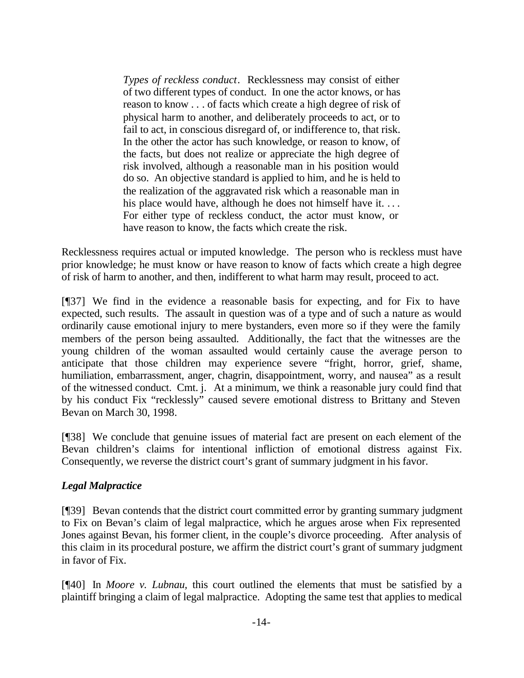*Types of reckless conduct*. Recklessness may consist of either of two different types of conduct. In one the actor knows, or has reason to know . . . of facts which create a high degree of risk of physical harm to another, and deliberately proceeds to act, or to fail to act, in conscious disregard of, or indifference to, that risk. In the other the actor has such knowledge, or reason to know, of the facts, but does not realize or appreciate the high degree of risk involved, although a reasonable man in his position would do so. An objective standard is applied to him, and he is held to the realization of the aggravated risk which a reasonable man in his place would have, although he does not himself have it. ... For either type of reckless conduct, the actor must know, or have reason to know, the facts which create the risk.

Recklessness requires actual or imputed knowledge. The person who is reckless must have prior knowledge; he must know or have reason to know of facts which create a high degree of risk of harm to another, and then, indifferent to what harm may result, proceed to act.

[¶37] We find in the evidence a reasonable basis for expecting, and for Fix to have expected, such results. The assault in question was of a type and of such a nature as would ordinarily cause emotional injury to mere bystanders, even more so if they were the family members of the person being assaulted. Additionally, the fact that the witnesses are the young children of the woman assaulted would certainly cause the average person to anticipate that those children may experience severe "fright, horror, grief, shame, humiliation, embarrassment, anger, chagrin, disappointment, worry, and nausea" as a result of the witnessed conduct. Cmt. j. At a minimum, we think a reasonable jury could find that by his conduct Fix "recklessly" caused severe emotional distress to Brittany and Steven Bevan on March 30, 1998.

[¶38] We conclude that genuine issues of material fact are present on each element of the Bevan children's claims for intentional infliction of emotional distress against Fix. Consequently, we reverse the district court's grant of summary judgment in his favor.

## *Legal Malpractice*

[¶39] Bevan contends that the district court committed error by granting summary judgment to Fix on Bevan's claim of legal malpractice, which he argues arose when Fix represented Jones against Bevan, his former client, in the couple's divorce proceeding. After analysis of this claim in its procedural posture, we affirm the district court's grant of summary judgment in favor of Fix.

[¶40] In *Moore v. Lubnau,* this court outlined the elements that must be satisfied by a plaintiff bringing a claim of legal malpractice. Adopting the same test that applies to medical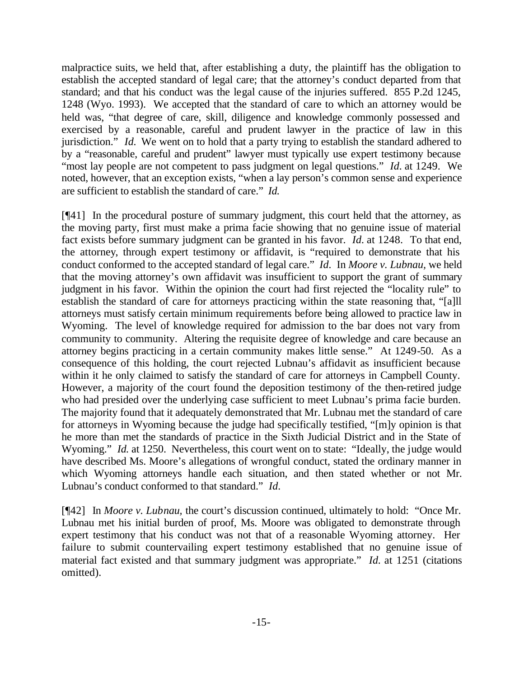malpractice suits, we held that, after establishing a duty, the plaintiff has the obligation to establish the accepted standard of legal care; that the attorney's conduct departed from that standard; and that his conduct was the legal cause of the injuries suffered. 855 P.2d 1245, 1248 (Wyo. 1993). We accepted that the standard of care to which an attorney would be held was, "that degree of care, skill, diligence and knowledge commonly possessed and exercised by a reasonable, careful and prudent lawyer in the practice of law in this jurisdiction." *Id.* We went on to hold that a party trying to establish the standard adhered to by a "reasonable, careful and prudent" lawyer must typically use expert testimony because "most lay people are not competent to pass judgment on legal questions." *Id.* at 1249. We noted, however, that an exception exists, "when a lay person's common sense and experience are sufficient to establish the standard of care." *Id.* 

[¶41] In the procedural posture of summary judgment, this court held that the attorney, as the moving party, first must make a prima facie showing that no genuine issue of material fact exists before summary judgment can be granted in his favor. *Id.* at 1248. To that end, the attorney, through expert testimony or affidavit, is "required to demonstrate that his conduct conformed to the accepted standard of legal care." *Id.* In *Moore v. Lubnau,* we held that the moving attorney's own affidavit was insufficient to support the grant of summary judgment in his favor. Within the opinion the court had first rejected the "locality rule" to establish the standard of care for attorneys practicing within the state reasoning that, "[a]ll attorneys must satisfy certain minimum requirements before being allowed to practice law in Wyoming. The level of knowledge required for admission to the bar does not vary from community to community. Altering the requisite degree of knowledge and care because an attorney begins practicing in a certain community makes little sense." At 1249-50. As a consequence of this holding, the court rejected Lubnau's affidavit as insufficient because within it he only claimed to satisfy the standard of care for attorneys in Campbell County. However, a majority of the court found the deposition testimony of the then-retired judge who had presided over the underlying case sufficient to meet Lubnau's prima facie burden. The majority found that it adequately demonstrated that Mr. Lubnau met the standard of care for attorneys in Wyoming because the judge had specifically testified, "[m]y opinion is that he more than met the standards of practice in the Sixth Judicial District and in the State of Wyoming." *Id.* at 1250. Nevertheless, this court went on to state: "Ideally, the judge would have described Ms. Moore's allegations of wrongful conduct, stated the ordinary manner in which Wyoming attorneys handle each situation, and then stated whether or not Mr. Lubnau's conduct conformed to that standard." *Id.*

[¶42] In *Moore v. Lubnau,* the court's discussion continued, ultimately to hold: "Once Mr. Lubnau met his initial burden of proof, Ms. Moore was obligated to demonstrate through expert testimony that his conduct was not that of a reasonable Wyoming attorney. Her failure to submit countervailing expert testimony established that no genuine issue of material fact existed and that summary judgment was appropriate." *Id.* at 1251 (citations omitted).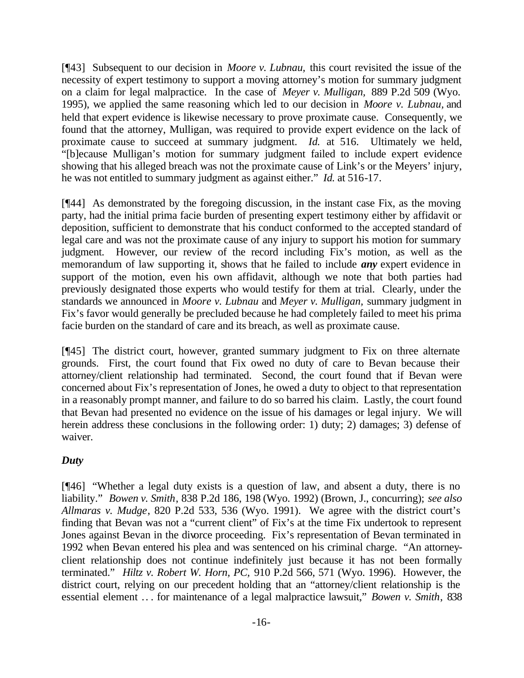[¶43] Subsequent to our decision in *Moore v. Lubnau,* this court revisited the issue of the necessity of expert testimony to support a moving attorney's motion for summary judgment on a claim for legal malpractice. In the case of *Meyer v. Mulligan,* 889 P.2d 509 (Wyo. 1995), we applied the same reasoning which led to our decision in *Moore v. Lubnau,* and held that expert evidence is likewise necessary to prove proximate cause. Consequently, we found that the attorney, Mulligan, was required to provide expert evidence on the lack of proximate cause to succeed at summary judgment. *Id.* at 516. Ultimately we held, "[b]ecause Mulligan's motion for summary judgment failed to include expert evidence showing that his alleged breach was not the proximate cause of Link's or the Meyers' injury, he was not entitled to summary judgment as against either." *Id.* at 516-17.

[¶44] As demonstrated by the foregoing discussion, in the instant case Fix, as the moving party, had the initial prima facie burden of presenting expert testimony either by affidavit or deposition, sufficient to demonstrate that his conduct conformed to the accepted standard of legal care and was not the proximate cause of any injury to support his motion for summary judgment. However, our review of the record including Fix's motion, as well as the memorandum of law supporting it, shows that he failed to include *any* expert evidence in support of the motion, even his own affidavit, although we note that both parties had previously designated those experts who would testify for them at trial. Clearly, under the standards we announced in *Moore v. Lubnau* and *Meyer v. Mulligan,* summary judgment in Fix's favor would generally be precluded because he had completely failed to meet his prima facie burden on the standard of care and its breach, as well as proximate cause.

[¶45] The district court, however, granted summary judgment to Fix on three alternate grounds. First, the court found that Fix owed no duty of care to Bevan because their attorney/client relationship had terminated. Second, the court found that if Bevan were concerned about Fix's representation of Jones, he owed a duty to object to that representation in a reasonably prompt manner, and failure to do so barred his claim. Lastly, the court found that Bevan had presented no evidence on the issue of his damages or legal injury. We will herein address these conclusions in the following order: 1) duty; 2) damages; 3) defense of waiver.

## *Duty*

[¶46] "Whether a legal duty exists is a question of law, and absent a duty, there is no liability." *Bowen v. Smith*, 838 P.2d 186, 198 (Wyo. 1992) (Brown, J., concurring); *see also Allmaras v. Mudge*, 820 P.2d 533, 536 (Wyo. 1991). We agree with the district court's finding that Bevan was not a "current client" of Fix's at the time Fix undertook to represent Jones against Bevan in the divorce proceeding. Fix's representation of Bevan terminated in 1992 when Bevan entered his plea and was sentenced on his criminal charge. "An attorneyclient relationship does not continue indefinitely just because it has not been formally terminated." *Hiltz v. Robert W. Horn, PC,* 910 P.2d 566, 571 (Wyo. 1996). However, the district court, relying on our precedent holding that an "attorney/client relationship is the essential element .. . for maintenance of a legal malpractice lawsuit," *Bowen v. Smith*, 838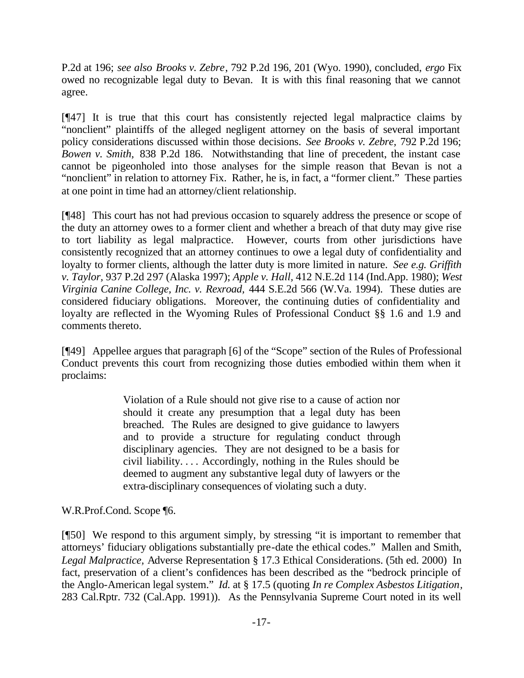P.2d at 196; *see also Brooks v. Zebre*, 792 P.2d 196, 201 (Wyo. 1990), concluded, *ergo* Fix owed no recognizable legal duty to Bevan. It is with this final reasoning that we cannot agree.

[¶47] It is true that this court has consistently rejected legal malpractice claims by "nonclient" plaintiffs of the alleged negligent attorney on the basis of several important policy considerations discussed within those decisions. *See Brooks v. Zebre,* 792 P.2d 196; *Bowen v. Smith,* 838 P.2d 186. Notwithstanding that line of precedent, the instant case cannot be pigeonholed into those analyses for the simple reason that Bevan is not a "nonclient" in relation to attorney Fix. Rather, he is, in fact, a "former client." These parties at one point in time had an attorney/client relationship.

[¶48] This court has not had previous occasion to squarely address the presence or scope of the duty an attorney owes to a former client and whether a breach of that duty may give rise to tort liability as legal malpractice. However, courts from other jurisdictions have consistently recognized that an attorney continues to owe a legal duty of confidentiality and loyalty to former clients, although the latter duty is more limited in nature. *See e.g. Griffith v. Taylor,* 937 P.2d 297 (Alaska 1997); *Apple v. Hall,* 412 N.E.2d 114 (Ind.App. 1980); *West Virginia Canine College, Inc. v. Rexroad,* 444 S.E.2d 566 (W.Va. 1994). These duties are considered fiduciary obligations. Moreover, the continuing duties of confidentiality and loyalty are reflected in the Wyoming Rules of Professional Conduct §§ 1.6 and 1.9 and comments thereto.

[¶49] Appellee argues that paragraph [6] of the "Scope" section of the Rules of Professional Conduct prevents this court from recognizing those duties embodied within them when it proclaims:

> Violation of a Rule should not give rise to a cause of action nor should it create any presumption that a legal duty has been breached. The Rules are designed to give guidance to lawyers and to provide a structure for regulating conduct through disciplinary agencies. They are not designed to be a basis for civil liability. . . . Accordingly, nothing in the Rules should be deemed to augment any substantive legal duty of lawyers or the extra-disciplinary consequences of violating such a duty.

W.R.Prof.Cond. Scope ¶6.

[¶50] We respond to this argument simply, by stressing "it is important to remember that attorneys' fiduciary obligations substantially pre-date the ethical codes." Mallen and Smith, *Legal Malpractice,* Adverse Representation § 17.3 Ethical Considerations. (5th ed. 2000) In fact, preservation of a client's confidences has been described as the "bedrock principle of the Anglo-American legal system." *Id.* at § 17.5 (quoting *In re Complex Asbestos Litigation,* 283 Cal.Rptr. 732 (Cal.App. 1991)). As the Pennsylvania Supreme Court noted in its well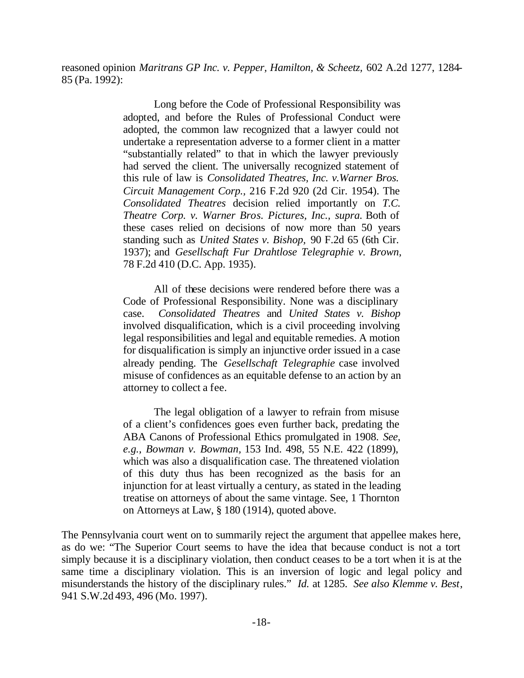reasoned opinion *Maritrans GP Inc. v. Pepper, Hamilton, & Scheetz,* 602 A.2d 1277, 1284- 85 (Pa. 1992):

> Long before the Code of Professional Responsibility was adopted, and before the Rules of Professional Conduct were adopted, the common law recognized that a lawyer could not undertake a representation adverse to a former client in a matter "substantially related" to that in which the lawyer previously had served the client. The universally recognized statement of this rule of law is *Consolidated Theatres, Inc. v.Warner Bros. Circuit Management Corp.,* 216 F.2d 920 (2d Cir. 1954). The *Consolidated Theatres* decision relied importantly on *T.C. Theatre Corp. v. Warner Bros. Pictures, Inc., supra.* Both of these cases relied on decisions of now more than 50 years standing such as *United States v. Bishop,* 90 F.2d 65 (6th Cir. 1937); and *Gesellschaft Fur Drahtlose Telegraphie v. Brown,* 78 F.2d 410 (D.C. App. 1935).

> All of these decisions were rendered before there was a Code of Professional Responsibility. None was a disciplinary case. *Consolidated Theatres* and *United States v. Bishop* involved disqualification, which is a civil proceeding involving legal responsibilities and legal and equitable remedies. A motion for disqualification is simply an injunctive order issued in a case already pending. The *Gesellschaft Telegraphie* case involved misuse of confidences as an equitable defense to an action by an attorney to collect a fee.

> The legal obligation of a lawyer to refrain from misuse of a client's confidences goes even further back, predating the ABA Canons of Professional Ethics promulgated in 1908. *See, e.g., Bowman v. Bowman,* 153 Ind. 498, 55 N.E. 422 (1899), which was also a disqualification case. The threatened violation of this duty thus has been recognized as the basis for an injunction for at least virtually a century, as stated in the leading treatise on attorneys of about the same vintage. See, 1 Thornton on Attorneys at Law, § 180 (1914), quoted above.

The Pennsylvania court went on to summarily reject the argument that appellee makes here, as do we: "The Superior Court seems to have the idea that because conduct is not a tort simply because it is a disciplinary violation, then conduct ceases to be a tort when it is at the same time a disciplinary violation. This is an inversion of logic and legal policy and misunderstands the history of the disciplinary rules." *Id.* at 1285. *See also Klemme v. Best*, 941 S.W.2d 493, 496 (Mo. 1997).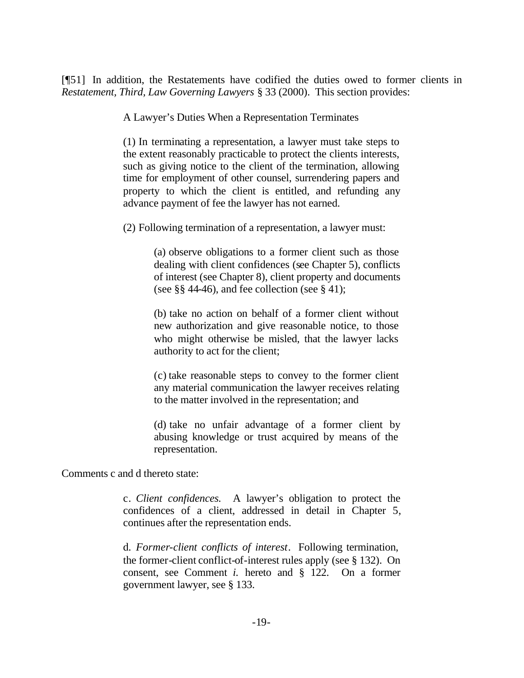[¶51] In addition, the Restatements have codified the duties owed to former clients in *Restatement, Third, Law Governing Lawyers* § 33 (2000). This section provides:

A Lawyer's Duties When a Representation Terminates

(1) In terminating a representation, a lawyer must take steps to the extent reasonably practicable to protect the clients interests, such as giving notice to the client of the termination, allowing time for employment of other counsel, surrendering papers and property to which the client is entitled, and refunding any advance payment of fee the lawyer has not earned.

(2) Following termination of a representation, a lawyer must:

(a) observe obligations to a former client such as those dealing with client confidences (see Chapter 5), conflicts of interest (see Chapter 8), client property and documents (see  $\S$ § 44-46), and fee collection (see § 41);

(b) take no action on behalf of a former client without new authorization and give reasonable notice, to those who might otherwise be misled, that the lawyer lacks authority to act for the client;

(c) take reasonable steps to convey to the former client any material communication the lawyer receives relating to the matter involved in the representation; and

(d) take no unfair advantage of a former client by abusing knowledge or trust acquired by means of the representation.

Comments c and d thereto state:

c. *Client confidences.* A lawyer's obligation to protect the confidences of a client, addressed in detail in Chapter 5, continues after the representation ends.

d. *Former-client conflicts of interest*. Following termination, the former-client conflict-of-interest rules apply (see § 132). On consent, see Comment *i.* hereto and § 122. On a former government lawyer, see § 133.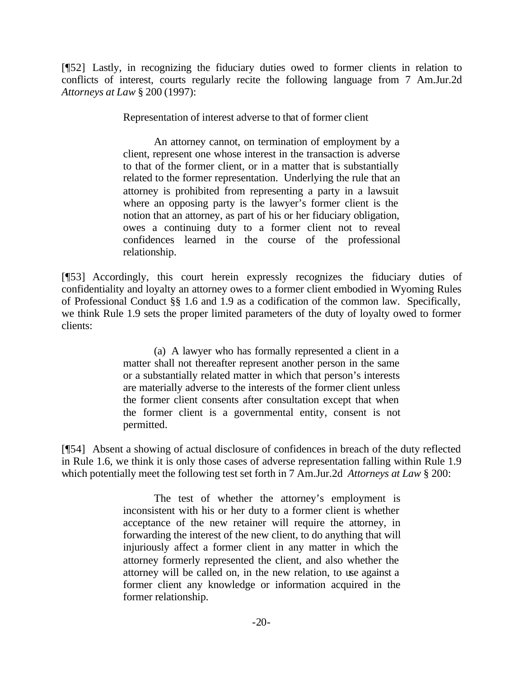[¶52] Lastly, in recognizing the fiduciary duties owed to former clients in relation to conflicts of interest, courts regularly recite the following language from 7 Am.Jur.2d *Attorneys at Law* § 200 (1997):

Representation of interest adverse to that of former client

An attorney cannot, on termination of employment by a client, represent one whose interest in the transaction is adverse to that of the former client, or in a matter that is substantially related to the former representation. Underlying the rule that an attorney is prohibited from representing a party in a lawsuit where an opposing party is the lawyer's former client is the notion that an attorney, as part of his or her fiduciary obligation, owes a continuing duty to a former client not to reveal confidences learned in the course of the professional relationship.

[¶53] Accordingly, this court herein expressly recognizes the fiduciary duties of confidentiality and loyalty an attorney owes to a former client embodied in Wyoming Rules of Professional Conduct §§ 1.6 and 1.9 as a codification of the common law. Specifically, we think Rule 1.9 sets the proper limited parameters of the duty of loyalty owed to former clients:

> (a) A lawyer who has formally represented a client in a matter shall not thereafter represent another person in the same or a substantially related matter in which that person's interests are materially adverse to the interests of the former client unless the former client consents after consultation except that when the former client is a governmental entity, consent is not permitted.

[¶54] Absent a showing of actual disclosure of confidences in breach of the duty reflected in Rule 1.6, we think it is only those cases of adverse representation falling within Rule 1.9 which potentially meet the following test set forth in 7 Am.Jur.2d *Attorneys at Law* § 200:

> The test of whether the attorney's employment is inconsistent with his or her duty to a former client is whether acceptance of the new retainer will require the attorney, in forwarding the interest of the new client, to do anything that will injuriously affect a former client in any matter in which the attorney formerly represented the client, and also whether the attorney will be called on, in the new relation, to use against a former client any knowledge or information acquired in the former relationship.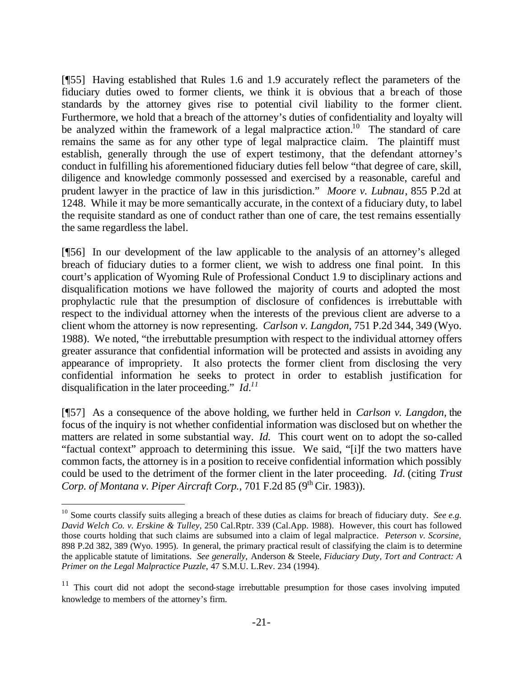[¶55] Having established that Rules 1.6 and 1.9 accurately reflect the parameters of the fiduciary duties owed to former clients, we think it is obvious that a breach of those standards by the attorney gives rise to potential civil liability to the former client. Furthermore, we hold that a breach of the attorney's duties of confidentiality and loyalty will be analyzed within the framework of a legal malpractice  $x$ tion.<sup>10</sup> The standard of care remains the same as for any other type of legal malpractice claim. The plaintiff must establish, generally through the use of expert testimony, that the defendant attorney's conduct in fulfilling his aforementioned fiduciary duties fell below "that degree of care, skill, diligence and knowledge commonly possessed and exercised by a reasonable, careful and prudent lawyer in the practice of law in this jurisdiction." *Moore v. Lubnau*, 855 P.2d at 1248. While it may be more semantically accurate, in the context of a fiduciary duty, to label the requisite standard as one of conduct rather than one of care, the test remains essentially the same regardless the label.

[¶56] In our development of the law applicable to the analysis of an attorney's alleged breach of fiduciary duties to a former client, we wish to address one final point. In this court's application of Wyoming Rule of Professional Conduct 1.9 to disciplinary actions and disqualification motions we have followed the majority of courts and adopted the most prophylactic rule that the presumption of disclosure of confidences is irrebuttable with respect to the individual attorney when the interests of the previous client are adverse to a client whom the attorney is now representing. *Carlson v. Langdon,* 751 P.2d 344, 349 (Wyo. 1988). We noted, "the irrebuttable presumption with respect to the individual attorney offers greater assurance that confidential information will be protected and assists in avoiding any appearance of impropriety. It also protects the former client from disclosing the very confidential information he seeks to protect in order to establish justification for disqualification in the later proceeding." *Id.<sup>11</sup>*

[¶57] As a consequence of the above holding, we further held in *Carlson v. Langdon,* the focus of the inquiry is not whether confidential information was disclosed but on whether the matters are related in some substantial way. *Id.* This court went on to adopt the so-called "factual context" approach to determining this issue. We said, "[i]f the two matters have common facts, the attorney is in a position to receive confidential information which possibly could be used to the detriment of the former client in the later proceeding. *Id.* (citing *Trust Corp. of Montana v. Piper Aircraft Corp., 701 F.2d 85 (9<sup>th</sup> Cir. 1983)).* 

<sup>&</sup>lt;sup>10</sup> Some courts classify suits alleging a breach of these duties as claims for breach of fiduciary duty. *See e.g. David Welch Co. v. Erskine & Tulley*, 250 Cal.Rptr. 339 (Cal.App. 1988). However, this court has followed those courts holding that such claims are subsumed into a claim of legal malpractice. *Peterson v. Scorsine,*  898 P.2d 382, 389 (Wyo. 1995). In general, the primary practical result of classifying the claim is to determine the applicable statute of limitations. *See generally,* Anderson & Steele, *Fiduciary Duty, Tort and Contract: A Primer on the Legal Malpractice Puzzle*, 47 S.M.U. L.Rev. 234 (1994).

<sup>&</sup>lt;sup>11</sup> This court did not adopt the second-stage irrebuttable presumption for those cases involving imputed knowledge to members of the attorney's firm.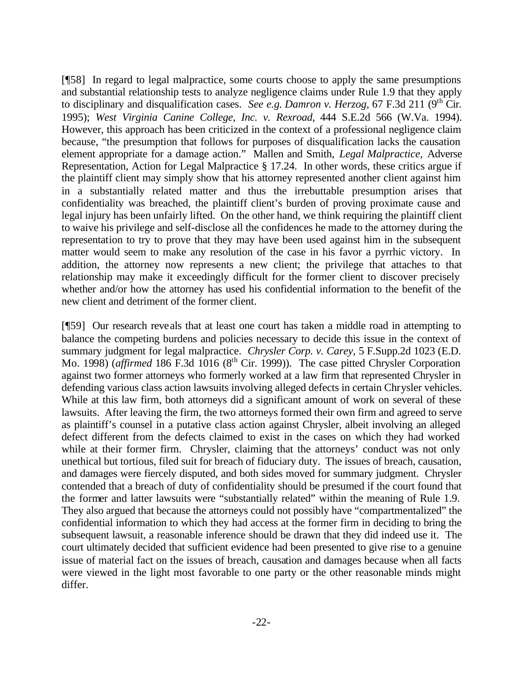[¶58] In regard to legal malpractice, some courts choose to apply the same presumptions and substantial relationship tests to analyze negligence claims under Rule 1.9 that they apply to disciplinary and disqualification cases. *See e.g. Damron v. Herzog,* 67 F.3d 211 (9<sup>th</sup> Cir. 1995); *West Virginia Canine College, Inc. v. Rexroad,* 444 S.E.2d 566 (W.Va. 1994). However, this approach has been criticized in the context of a professional negligence claim because, "the presumption that follows for purposes of disqualification lacks the causation element appropriate for a damage action." Mallen and Smith, *Legal Malpractice,* Adverse Representation, Action for Legal Malpractice § 17.24. In other words, these critics argue if the plaintiff client may simply show that his attorney represented another client against him in a substantially related matter and thus the irrebuttable presumption arises that confidentiality was breached, the plaintiff client's burden of proving proximate cause and legal injury has been unfairly lifted. On the other hand, we think requiring the plaintiff client to waive his privilege and self-disclose all the confidences he made to the attorney during the representation to try to prove that they may have been used against him in the subsequent matter would seem to make any resolution of the case in his favor a pyrrhic victory. In addition, the attorney now represents a new client; the privilege that attaches to that relationship may make it exceedingly difficult for the former client to discover precisely whether and/or how the attorney has used his confidential information to the benefit of the new client and detriment of the former client.

[¶59] Our research reveals that at least one court has taken a middle road in attempting to balance the competing burdens and policies necessary to decide this issue in the context of summary judgment for legal malpractice. *Chrysler Corp. v. Carey,* 5 F.Supp.2d 1023 (E.D. Mo. 1998) (*affirmed* 186 F.3d 1016 (8<sup>th</sup> Cir. 1999)). The case pitted Chrysler Corporation against two former attorneys who formerly worked at a law firm that represented Chrysler in defending various class action lawsuits involving alleged defects in certain Chrysler vehicles. While at this law firm, both attorneys did a significant amount of work on several of these lawsuits. After leaving the firm, the two attorneys formed their own firm and agreed to serve as plaintiff's counsel in a putative class action against Chrysler, albeit involving an alleged defect different from the defects claimed to exist in the cases on which they had worked while at their former firm. Chrysler, claiming that the attorneys' conduct was not only unethical but tortious, filed suit for breach of fiduciary duty. The issues of breach, causation, and damages were fiercely disputed, and both sides moved for summary judgment. Chrysler contended that a breach of duty of confidentiality should be presumed if the court found that the former and latter lawsuits were "substantially related" within the meaning of Rule 1.9. They also argued that because the attorneys could not possibly have "compartmentalized" the confidential information to which they had access at the former firm in deciding to bring the subsequent lawsuit, a reasonable inference should be drawn that they did indeed use it. The court ultimately decided that sufficient evidence had been presented to give rise to a genuine issue of material fact on the issues of breach, causation and damages because when all facts were viewed in the light most favorable to one party or the other reasonable minds might differ.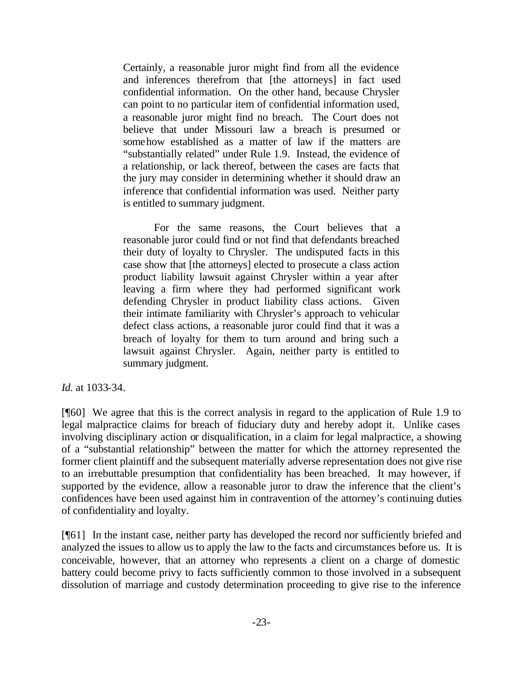Certainly, a reasonable juror might find from all the evidence and inferences therefrom that [the attorneys] in fact used confidential information. On the other hand, because Chrysler can point to no particular item of confidential information used, a reasonable juror might find no breach. The Court does not believe that under Missouri law a breach is presumed or somehow established as a matter of law if the matters are "substantially related" under Rule 1.9. Instead, the evidence of a relationship, or lack thereof, between the cases are facts that the jury may consider in determining whether it should draw an inference that confidential information was used. Neither party is entitled to summary judgment.

For the same reasons, the Court believes that a reasonable juror could find or not find that defendants breached their duty of loyalty to Chrysler. The undisputed facts in this case show that [the attorneys] elected to prosecute a class action product liability lawsuit against Chrysler within a year after leaving a firm where they had performed significant work defending Chrysler in product liability class actions. Given their intimate familiarity with Chrysler's approach to vehicular defect class actions, a reasonable juror could find that it was a breach of loyalty for them to turn around and bring such a lawsuit against Chrysler. Again, neither party is entitled to summary judgment.

*Id.* at 1033-34.

[¶60] We agree that this is the correct analysis in regard to the application of Rule 1.9 to legal malpractice claims for breach of fiduciary duty and hereby adopt it. Unlike cases involving disciplinary action or disqualification, in a claim for legal malpractice, a showing of a "substantial relationship" between the matter for which the attorney represented the former client plaintiff and the subsequent materially adverse representation does not give rise to an irrebuttable presumption that confidentiality has been breached. It may however, if supported by the evidence, allow a reasonable juror to draw the inference that the client's confidences have been used against him in contravention of the attorney's continuing duties of confidentiality and loyalty.

[¶61] In the instant case, neither party has developed the record nor sufficiently briefed and analyzed the issues to allow us to apply the law to the facts and circumstances before us. It is conceivable, however, that an attorney who represents a client on a charge of domestic battery could become privy to facts sufficiently common to those involved in a subsequent dissolution of marriage and custody determination proceeding to give rise to the inference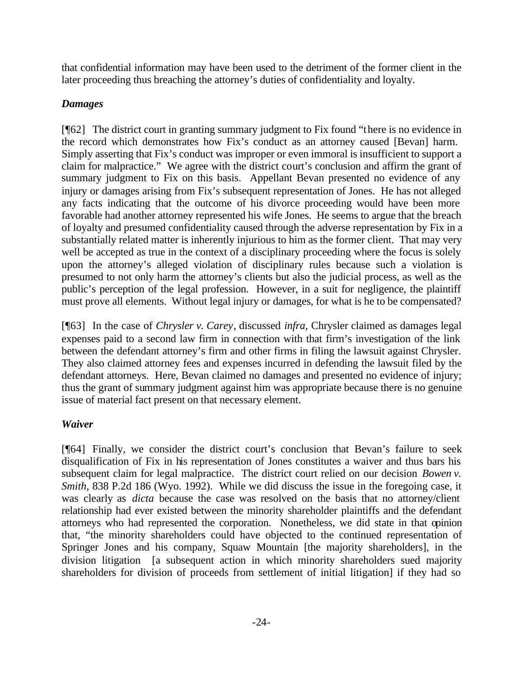that confidential information may have been used to the detriment of the former client in the later proceeding thus breaching the attorney's duties of confidentiality and loyalty.

# *Damages*

[¶62] The district court in granting summary judgment to Fix found "there is no evidence in the record which demonstrates how Fix's conduct as an attorney caused [Bevan] harm. Simply asserting that Fix's conduct was improper or even immoral is insufficient to support a claim for malpractice." We agree with the district court's conclusion and affirm the grant of summary judgment to Fix on this basis. Appellant Bevan presented no evidence of any injury or damages arising from Fix's subsequent representation of Jones. He has not alleged any facts indicating that the outcome of his divorce proceeding would have been more favorable had another attorney represented his wife Jones. He seems to argue that the breach of loyalty and presumed confidentiality caused through the adverse representation by Fix in a substantially related matter is inherently injurious to him as the former client. That may very well be accepted as true in the context of a disciplinary proceeding where the focus is solely upon the attorney's alleged violation of disciplinary rules because such a violation is presumed to not only harm the attorney's clients but also the judicial process, as well as the public's perception of the legal profession. However, in a suit for negligence, the plaintiff must prove all elements. Without legal injury or damages, for what is he to be compensated?

[¶63] In the case of *Chrysler v. Carey*, discussed *infra,* Chrysler claimed as damages legal expenses paid to a second law firm in connection with that firm's investigation of the link between the defendant attorney's firm and other firms in filing the lawsuit against Chrysler. They also claimed attorney fees and expenses incurred in defending the lawsuit filed by the defendant attorneys. Here, Bevan claimed no damages and presented no evidence of injury; thus the grant of summary judgment against him was appropriate because there is no genuine issue of material fact present on that necessary element.

# *Waiver*

[¶64] Finally, we consider the district court's conclusion that Bevan's failure to seek disqualification of Fix in his representation of Jones constitutes a waiver and thus bars his subsequent claim for legal malpractice. The district court relied on our decision *Bowen v. Smith, 838 P.2d 186 (Wyo. 1992). While we did discuss the issue in the foregoing case, it* was clearly as *dicta* because the case was resolved on the basis that no attorney/client relationship had ever existed between the minority shareholder plaintiffs and the defendant attorneys who had represented the corporation. Nonetheless, we did state in that opinion that, "the minority shareholders could have objected to the continued representation of Springer Jones and his company, Squaw Mountain [the majority shareholders], in the division litigation [a subsequent action in which minority shareholders sued majority shareholders for division of proceeds from settlement of initial litigation] if they had so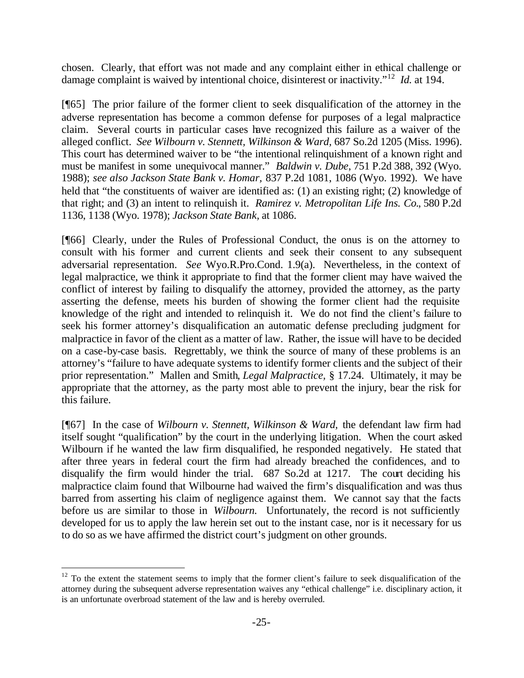chosen. Clearly, that effort was not made and any complaint either in ethical challenge or damage complaint is waived by intentional choice, disinterest or inactivity."<sup>12</sup> *Id.* at 194.

[¶65] The prior failure of the former client to seek disqualification of the attorney in the adverse representation has become a common defense for purposes of a legal malpractice claim. Several courts in particular cases have recognized this failure as a waiver of the alleged conflict. *See Wilbourn v. Stennett, Wilkinson & Ward,* 687 So.2d 1205 (Miss. 1996). This court has determined waiver to be "the intentional relinquishment of a known right and must be manifest in some unequivocal manner." *Baldwin v. Dube*, 751 P.2d 388, 392 (Wyo. 1988); *see also Jackson State Bank v. Homar,* 837 P.2d 1081, 1086 (Wyo. 1992). We have held that "the constituents of waiver are identified as: (1) an existing right; (2) knowledge of that right; and (3) an intent to relinquish it. *Ramirez v. Metropolitan Life Ins. Co.*, 580 P.2d 1136, 1138 (Wyo. 1978); *Jackson State Bank,* at 1086.

[¶66] Clearly, under the Rules of Professional Conduct, the onus is on the attorney to consult with his former and current clients and seek their consent to any subsequent adversarial representation. *See* Wyo.R.Pro.Cond. 1.9(a). Nevertheless, in the context of legal malpractice, we think it appropriate to find that the former client may have waived the conflict of interest by failing to disqualify the attorney, provided the attorney, as the party asserting the defense, meets his burden of showing the former client had the requisite knowledge of the right and intended to relinquish it. We do not find the client's failure to seek his former attorney's disqualification an automatic defense precluding judgment for malpractice in favor of the client as a matter of law. Rather, the issue will have to be decided on a case-by-case basis. Regrettably, we think the source of many of these problems is an attorney's "failure to have adequate systems to identify former clients and the subject of their prior representation." Mallen and Smith*, Legal Malpractice,* § 17.24. Ultimately, it may be appropriate that the attorney, as the party most able to prevent the injury, bear the risk for this failure.

[¶67] In the case of *Wilbourn v. Stennett, Wilkinson & Ward,* the defendant law firm had itself sought "qualification" by the court in the underlying litigation. When the court asked Wilbourn if he wanted the law firm disqualified, he responded negatively. He stated that after three years in federal court the firm had already breached the confidences, and to disqualify the firm would hinder the trial. 687 So.2d at 1217. The court deciding his malpractice claim found that Wilbourne had waived the firm's disqualification and was thus barred from asserting his claim of negligence against them. We cannot say that the facts before us are similar to those in *Wilbourn*. Unfortunately, the record is not sufficiently developed for us to apply the law herein set out to the instant case, nor is it necessary for us to do so as we have affirmed the district court's judgment on other grounds.

 $12$  To the extent the statement seems to imply that the former client's failure to seek disqualification of the attorney during the subsequent adverse representation waives any "ethical challenge" i.e. disciplinary action, it is an unfortunate overbroad statement of the law and is hereby overruled.